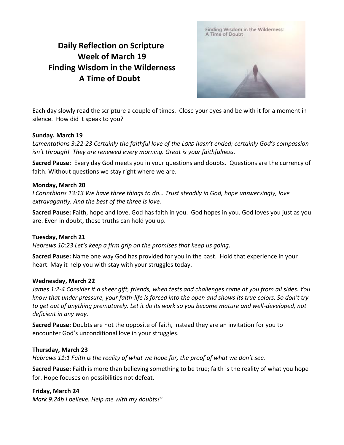# **Daily Reflection on Scripture Week of March 19 Finding Wisdom in the Wilderness A Time of Doubt**



Each day slowly read the scripture a couple of times. Close your eyes and be with it for a moment in silence. How did it speak to you?

## **Sunday. March 19**

*Lamentations 3:22-23 Certainly the faithful love of the LORD hasn't ended; certainly God's compassion isn't through! They are renewed every morning. Great is your faithfulness.*

**Sacred Pause:** Every day God meets you in your questions and doubts. Questions are the currency of faith. Without questions we stay right where we are.

## **Monday, March 20**

*I Corinthians 13:13 We have three things to do… Trust steadily in God, hope unswervingly, love extravagantly. And the best of the three is love.*

**Sacred Pause:** Faith, hope and love. God has faith in you. God hopes in you. God loves you just as you are. Even in doubt, these truths can hold you up.

### **Tuesday, March 21**

*Hebrews 10:23 Let's keep a firm grip on the promises that keep us going.*

**Sacred Pause:** Name one way God has provided for you in the past. Hold that experience in your heart. May it help you with stay with your struggles today.

### **Wednesday, March 22**

*James 1:2-4 Consider it a sheer gift, friends, when tests and challenges come at you from all sides. You know that under pressure, your faith-life is forced into the open and shows its true colors. So don't try to get out of anything prematurely. Let it do its work so you become mature and well-developed, not deficient in any way.*

**Sacred Pause:** Doubts are not the opposite of faith, instead they are an invitation for you to encounter God's unconditional love in your struggles.

### **Thursday, March 23**

*Hebrews 11:1 Faith is the reality of what we hope for, the proof of what we don't see.*

**Sacred Pause:** Faith is more than believing something to be true; faith is the reality of what you hope for. Hope focuses on possibilities not defeat.

### **Friday, March 24**

*Mark 9:24b I believe. Help me with my doubts!"*